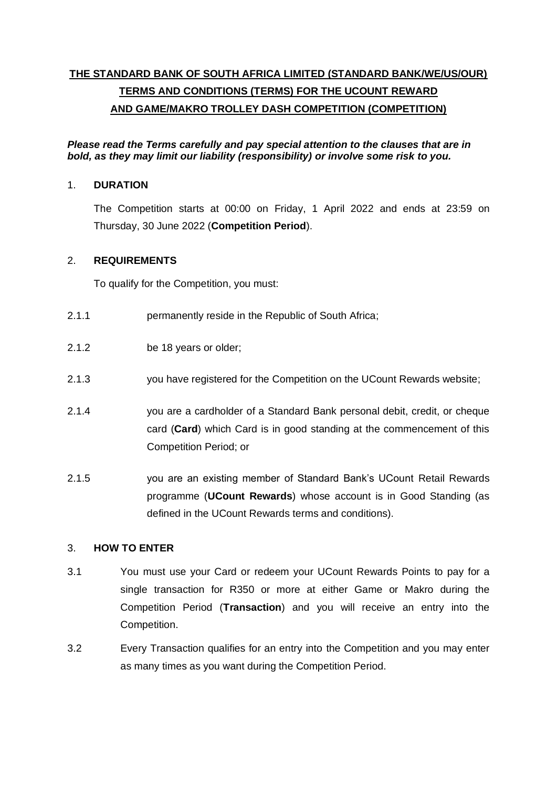# **THE STANDARD BANK OF SOUTH AFRICA LIMITED (STANDARD BANK/WE/US/OUR) TERMS AND CONDITIONS (TERMS) FOR THE UCOUNT REWARD AND GAME/MAKRO TROLLEY DASH COMPETITION (COMPETITION)**

*Please read the Terms carefully and pay special attention to the clauses that are in bold, as they may limit our liability (responsibility) or involve some risk to you.*

# 1. **DURATION**

The Competition starts at 00:00 on Friday, 1 April 2022 and ends at 23:59 on Thursday, 30 June 2022 (**Competition Period**).

# 2. **REQUIREMENTS**

To qualify for the Competition, you must:

- 2.1.1 permanently reside in the Republic of South Africa;
- 2.1.2 be 18 years or older;
- 2.1.3 you have registered for the Competition on the UCount Rewards website;
- 2.1.4 you are a cardholder of a Standard Bank personal debit, credit, or cheque card (**Card**) which Card is in good standing at the commencement of this Competition Period; or
- 2.1.5 you are an existing member of Standard Bank's UCount Retail Rewards programme (**UCount Rewards**) whose account is in Good Standing (as defined in the UCount Rewards terms and conditions).

# 3. **HOW TO ENTER**

- 3.1 You must use your Card or redeem your UCount Rewards Points to pay for a single transaction for R350 or more at either Game or Makro during the Competition Period (**Transaction**) and you will receive an entry into the Competition.
- 3.2 Every Transaction qualifies for an entry into the Competition and you may enter as many times as you want during the Competition Period.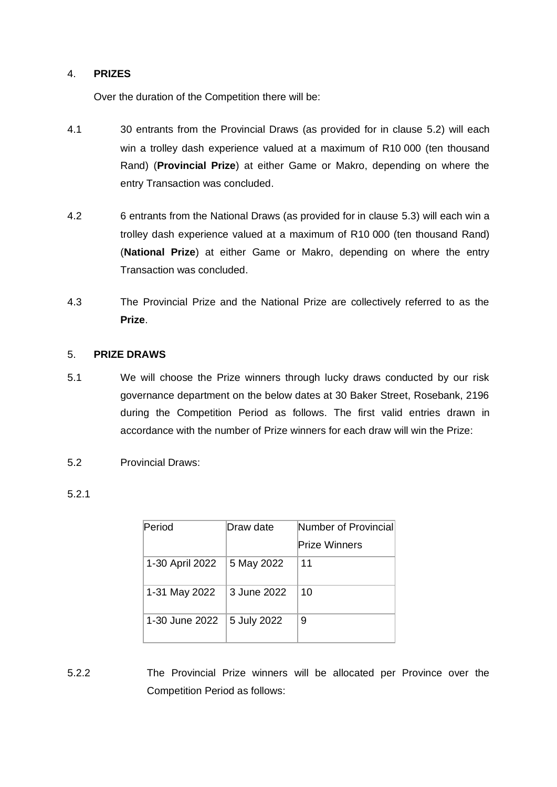#### 4. **PRIZES**

Over the duration of the Competition there will be:

- 4.1 30 entrants from the Provincial Draws (as provided for in clause [5.2\)](#page-1-0) will each win a trolley dash experience valued at a maximum of R10 000 (ten thousand Rand) (**Provincial Prize**) at either Game or Makro, depending on where the entry Transaction was concluded.
- 4.2 6 entrants from the National Draws (as provided for in clause [5.3\)](#page-2-0) will each win a trolley dash experience valued at a maximum of R10 000 (ten thousand Rand) (**National Prize**) at either Game or Makro, depending on where the entry Transaction was concluded.
- 4.3 The Provincial Prize and the National Prize are collectively referred to as the **Prize**.

#### <span id="page-1-1"></span>5. **PRIZE DRAWS**

- 5.1 We will choose the Prize winners through lucky draws conducted by our risk governance department on the below dates at 30 Baker Street, Rosebank, 2196 during the Competition Period as follows. The first valid entries drawn in accordance with the number of Prize winners for each draw will win the Prize:
- <span id="page-1-0"></span>5.2 Provincial Draws:

| Period          | Draw date   | Number of Provincial |  |
|-----------------|-------------|----------------------|--|
|                 |             | <b>Prize Winners</b> |  |
| 1-30 April 2022 | 5 May 2022  | 11                   |  |
| 1-31 May 2022   | 3 June 2022 | 10                   |  |
| 1-30 June 2022  | 5 July 2022 | 9                    |  |

5.2.2 The Provincial Prize winners will be allocated per Province over the Competition Period as follows: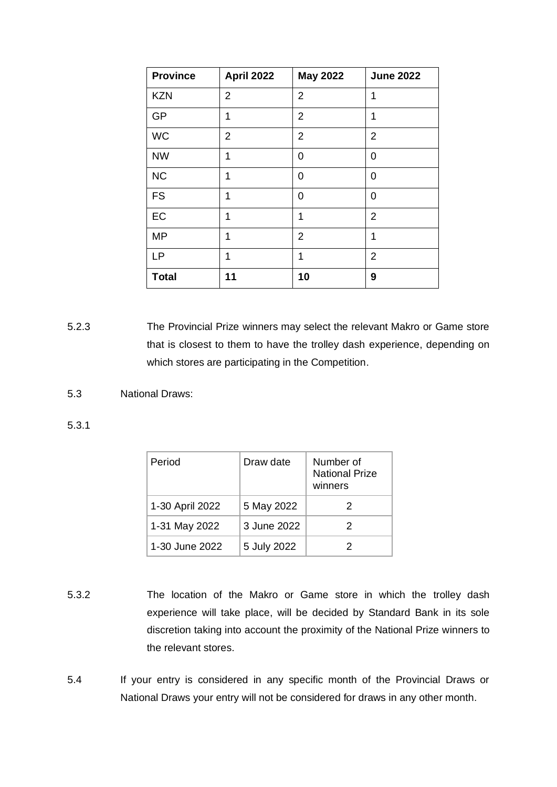| <b>Province</b> | April 2022     | <b>May 2022</b> | <b>June 2022</b> |
|-----------------|----------------|-----------------|------------------|
| <b>KZN</b>      | $\overline{2}$ | $\overline{2}$  | 1                |
| GP              | 1              | $\overline{2}$  | 1                |
| <b>WC</b>       | $\overline{2}$ | $\overline{2}$  | $\overline{2}$   |
| <b>NW</b>       | 1              | 0               | 0                |
| <b>NC</b>       | 1              | 0               | 0                |
| <b>FS</b>       | 1              | 0               | 0                |
| EC              | 1              | 1               | $\overline{2}$   |
| <b>MP</b>       | 1              | $\overline{2}$  | 1                |
| LP              | 1              | 1               | $\overline{2}$   |
| <b>Total</b>    | 11             | 10              | 9                |

5.2.3 The Provincial Prize winners may select the relevant Makro or Game store that is closest to them to have the trolley dash experience, depending on which stores are participating in the Competition.

<span id="page-2-0"></span>5.3 National Draws:

5.3.1

| Period          | Draw date   | Number of<br><b>National Prize</b><br>winners |
|-----------------|-------------|-----------------------------------------------|
| 1-30 April 2022 | 5 May 2022  | 2                                             |
| 1-31 May 2022   | 3 June 2022 | 2                                             |
| 1-30 June 2022  | 5 July 2022 |                                               |

- 5.3.2 The location of the Makro or Game store in which the trolley dash experience will take place, will be decided by Standard Bank in its sole discretion taking into account the proximity of the National Prize winners to the relevant stores.
- 5.4 If your entry is considered in any specific month of the Provincial Draws or National Draws your entry will not be considered for draws in any other month.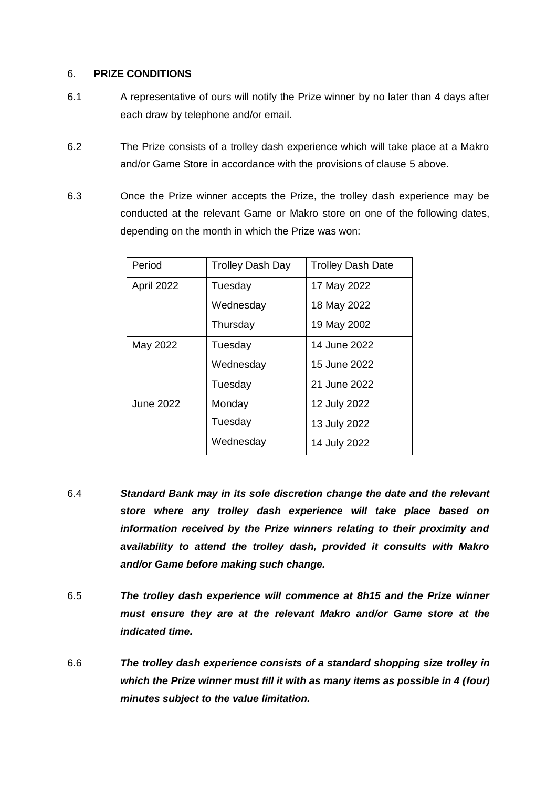#### 6. **PRIZE CONDITIONS**

- 6.1 A representative of ours will notify the Prize winner by no later than 4 days after each draw by telephone and/or email.
- 6.2 The Prize consists of a trolley dash experience which will take place at a Makro and/or Game Store in accordance with the provisions of clause [5](#page-1-1) above.
- 6.3 Once the Prize winner accepts the Prize, the trolley dash experience may be conducted at the relevant Game or Makro store on one of the following dates, depending on the month in which the Prize was won:

| Period           | <b>Trolley Dash Day</b> | <b>Trolley Dash Date</b> |
|------------------|-------------------------|--------------------------|
| April 2022       | Tuesday                 | 17 May 2022              |
|                  | Wednesday               | 18 May 2022              |
|                  | Thursday                | 19 May 2002              |
| May 2022         | Tuesday                 | 14 June 2022             |
|                  | Wednesday               | 15 June 2022             |
|                  | Tuesday                 | 21 June 2022             |
| <b>June 2022</b> | Monday                  | 12 July 2022             |
|                  | Tuesday                 | 13 July 2022             |
|                  | Wednesday               | 14 July 2022             |
|                  |                         |                          |

- 6.4 *Standard Bank may in its sole discretion change the date and the relevant store where any trolley dash experience will take place based on information received by the Prize winners relating to their proximity and availability to attend the trolley dash, provided it consults with Makro and/or Game before making such change.*
- 6.5 *The trolley dash experience will commence at 8h15 and the Prize winner must ensure they are at the relevant Makro and/or Game store at the indicated time.*
- 6.6 *The trolley dash experience consists of a standard shopping size trolley in which the Prize winner must fill it with as many items as possible in 4 (four) minutes subject to the value limitation.*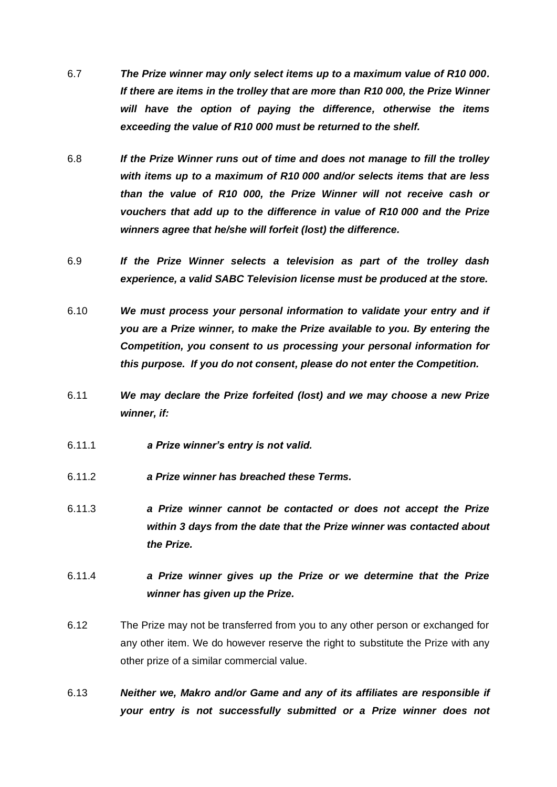- 6.7 *The Prize winner may only select items up to a maximum value of R10 000. If there are items in the trolley that are more than R10 000, the Prize Winner will have the option of paying the difference, otherwise the items exceeding the value of R10 000 must be returned to the shelf.*
- 6.8 *If the Prize Winner runs out of time and does not manage to fill the trolley with items up to a maximum of R10 000 and/or selects items that are less than the value of R10 000, the Prize Winner will not receive cash or vouchers that add up to the difference in value of R10 000 and the Prize winners agree that he/she will forfeit (lost) the difference.*
- 6.9 *If the Prize Winner selects a television as part of the trolley dash experience, a valid SABC Television license must be produced at the store.*
- 6.10 *We must process your personal information to validate your entry and if you are a Prize winner, to make the Prize available to you. By entering the Competition, you consent to us processing your personal information for this purpose. If you do not consent, please do not enter the Competition.*
- 6.11 *We may declare the Prize forfeited (lost) and we may choose a new Prize winner, if:*
- 6.11.1 *a Prize winner's entry is not valid.*
- 6.11.2 *a Prize winner has breached these Terms.*
- 6.11.3 *a Prize winner cannot be contacted or does not accept the Prize within 3 days from the date that the Prize winner was contacted about the Prize.*
- 6.11.4 *a Prize winner gives up the Prize or we determine that the Prize winner has given up the Prize.*
- 6.12 The Prize may not be transferred from you to any other person or exchanged for any other item. We do however reserve the right to substitute the Prize with any other prize of a similar commercial value.
- 6.13 *Neither we, Makro and/or Game and any of its affiliates are responsible if your entry is not successfully submitted or a Prize winner does not*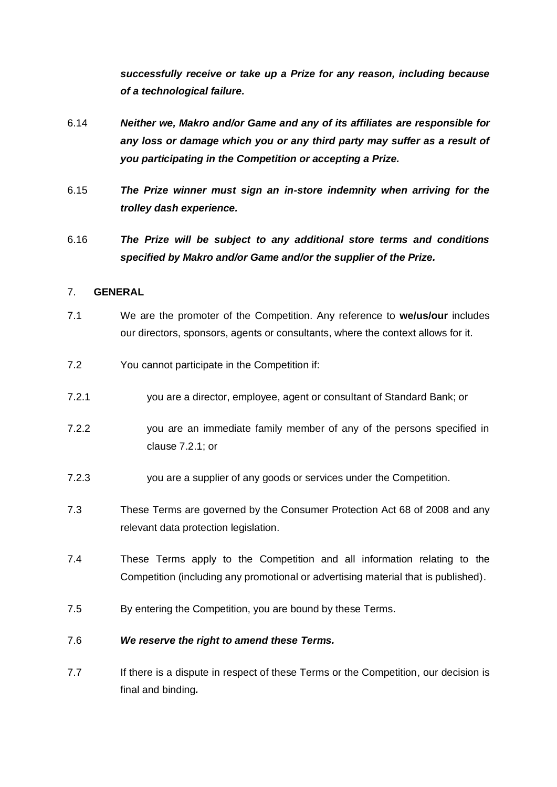*successfully receive or take up a Prize for any reason, including because of a technological failure.* 

- 6.14 *Neither we, Makro and/or Game and any of its affiliates are responsible for any loss or damage which you or any third party may suffer as a result of you participating in the Competition or accepting a Prize.*
- 6.15 *The Prize winner must sign an in-store indemnity when arriving for the trolley dash experience.*
- 6.16 *The Prize will be subject to any additional store terms and conditions specified by Makro and/or Game and/or the supplier of the Prize.*

# 7. **GENERAL**

- 7.1 We are the promoter of the Competition. Any reference to **we/us/our** includes our directors, sponsors, agents or consultants, where the context allows for it.
- 7.2 You cannot participate in the Competition if:
- <span id="page-5-0"></span>7.2.1 you are a director, employee, agent or consultant of Standard Bank; or
- 7.2.2 you are an immediate family member of any of the persons specified in clause [7.2.1;](#page-5-0) or
- 7.2.3 you are a supplier of any goods or services under the Competition.
- 7.3 These Terms are governed by the Consumer Protection Act 68 of 2008 and any relevant data protection legislation.
- 7.4 These Terms apply to the Competition and all information relating to the Competition (including any promotional or advertising material that is published).
- 7.5 By entering the Competition, you are bound by these Terms.

# 7.6 *We reserve the right to amend these Terms.*

7.7 If there is a dispute in respect of these Terms or the Competition, our decision is final and binding*.*